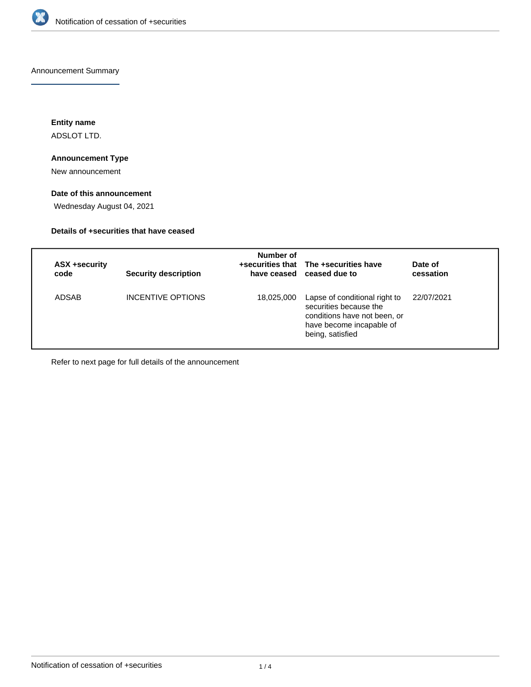

Announcement Summary

**Entity name** ADSLOT LTD.

## **Announcement Type**

New announcement

## **Date of this announcement**

Wednesday August 04, 2021

## **Details of +securities that have ceased**

| ASX +security<br>code | <b>Security description</b> | Number of  | +securities that The +securities have<br>have ceased ceased due to                                                                      | Date of<br>cessation |
|-----------------------|-----------------------------|------------|-----------------------------------------------------------------------------------------------------------------------------------------|----------------------|
| ADSAB                 | INCENTIVE OPTIONS           | 18,025,000 | Lapse of conditional right to<br>securities because the<br>conditions have not been, or<br>have become incapable of<br>being, satisfied | 22/07/2021           |

Refer to next page for full details of the announcement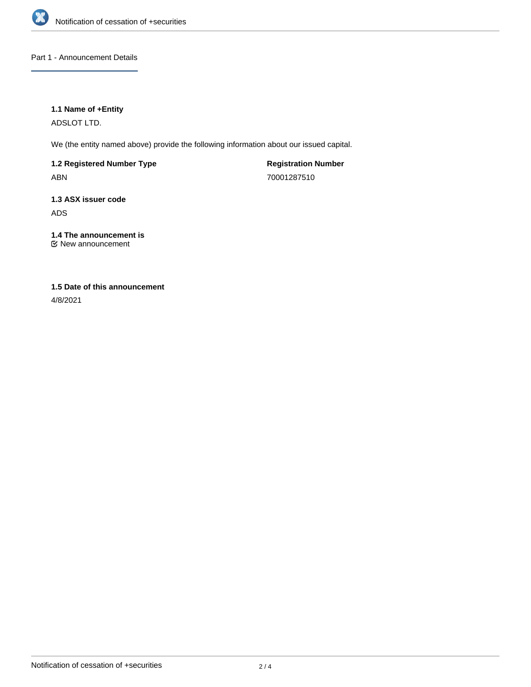

Part 1 - Announcement Details

## **1.1 Name of +Entity**

ADSLOT LTD.

We (the entity named above) provide the following information about our issued capital.

**1.2 Registered Number Type** ABN

**Registration Number** 70001287510

**1.3 ASX issuer code** ADS

**1.4 The announcement is** New announcement

# **1.5 Date of this announcement**

4/8/2021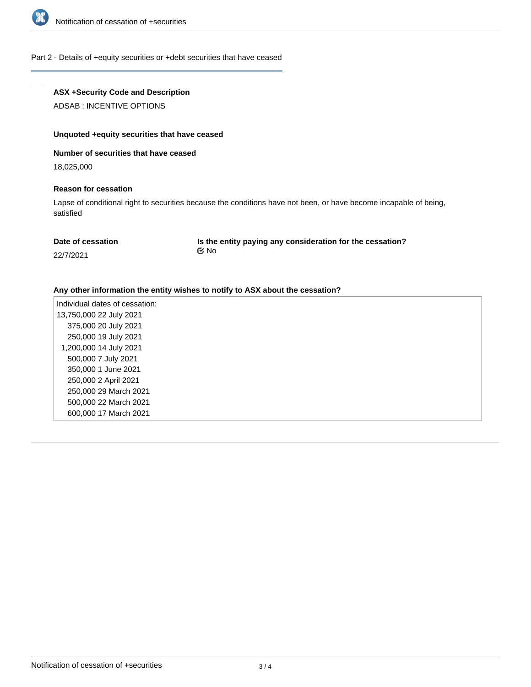

### Part 2 - Details of +equity securities or +debt securities that have ceased

## **ASX +Security Code and Description**

ADSAB : INCENTIVE OPTIONS

#### **Unquoted +equity securities that have ceased**

### **Number of securities that have ceased**

18,025,000

#### **Reason for cessation**

Lapse of conditional right to securities because the conditions have not been, or have become incapable of being, satisfied

| Date of cessation | Is the entity paying any consideration for the cessation? |  |
|-------------------|-----------------------------------------------------------|--|
| 22/7/2021         | t⊠ No                                                     |  |

#### **Any other information the entity wishes to notify to ASX about the cessation?**

Individual dates of cessation: 13,750,000 22 July 2021 375,000 20 July 2021 250,000 19 July 2021 1,200,000 14 July 2021 500,000 7 July 2021 350,000 1 June 2021 250,000 2 April 2021 250,000 29 March 2021 500,000 22 March 2021 600,000 17 March 2021